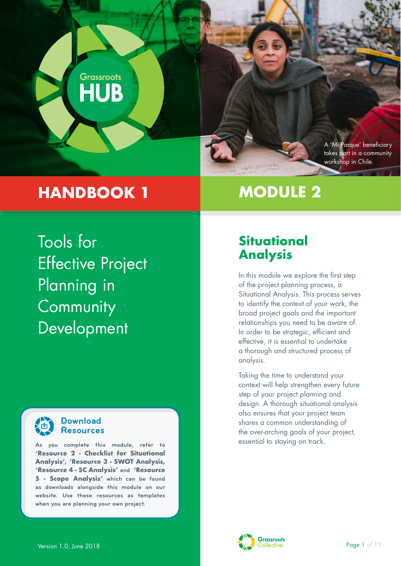

# **HANDBOOK 1**

# **MODULE 2**

Tools for Effective Project Planning in **Community** Development



## **Download Resources**

essential to staying on track. **As you complete this module, refer to 'Resource 2 - Checklist for Situational Analysis', 'Resource 3 - SWOT Analysis, 'Resource 4 - 5C Analysis' and 'Resource 5 - Scope Analysis' which can be found as downloads alongside this module on our website. Use these resources as templates when you are planning your own project.**

# **Situational Analysis**

In this module we explore the first step of the project planning process, a Situational Analysis. This process serves to identify the context of your work, the broad project goals and the important relationships you need to be aware of. In order to be strategic, efficient and effective, it is essential to undertake a thorough and structured process of analysis.

Taking the time to understand your context will help strengthen every future step of your project planning and design. A thorough situational analysis also ensures that your project team shares a common understanding of the over-arching goals of your project,

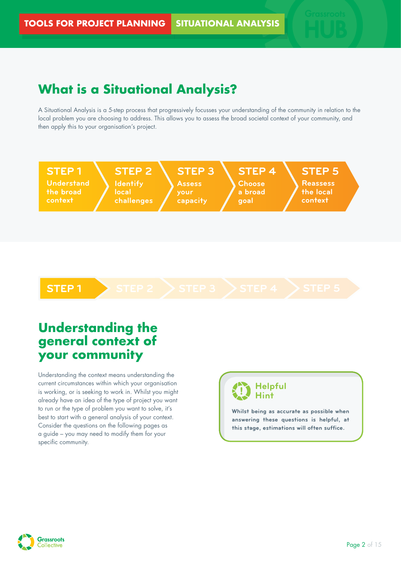# **What is a Situational Analysis?**

A Situational Analysis is a 5-step process that progressively focusses your understanding of the community in relation to the local problem you are choosing to address. This allows you to assess the broad societal context of your community, and then apply this to your organisation's project.



# **Understanding the general context of your community**

Understanding the context means understanding the current circumstances within which your organisation is working, or is seeking to work in. Whilst you might already have an idea of the type of project you want to run or the type of problem you want to solve, it's best to start with a general analysis of your context. Consider the questions on the following pages as a guide – you may need to modify them for your specific community.

## **Helpful Hint**

**Whilst being as accurate as possible when answering these questions is helpful, at this stage, estimations will often suffice.** 

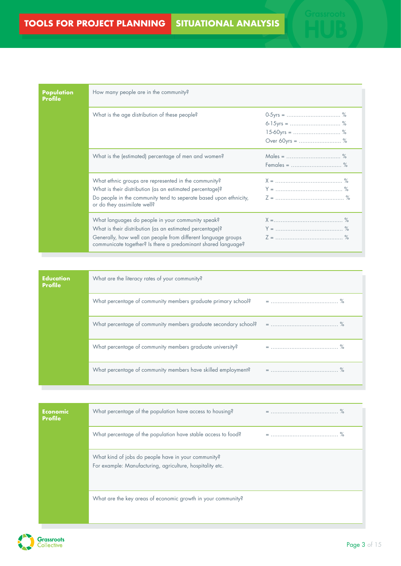| Population<br><b>Profile</b> | How many people are in the community?                                                                                                                                                                                                           |                 |
|------------------------------|-------------------------------------------------------------------------------------------------------------------------------------------------------------------------------------------------------------------------------------------------|-----------------|
|                              | What is the age distribution of these people?                                                                                                                                                                                                   | Over 60yrs =  % |
|                              | What is the (estimated) percentage of men and women?                                                                                                                                                                                            |                 |
|                              | What ethnic groups are represented in the community?<br>What is their distribution (as an estimated percentage)?<br>Do people in the community tend to seperate based upon ethnicity,<br>or do they assimilate well?                            |                 |
|                              | What languages do people in your community speak?<br>What is their distribution (as an estimated percentage)?<br>Generally, how well can people from different language groups<br>communicate together? Is there a predominant shared language? |                 |

| <b>Education</b><br>Profile | What are the literacy rates of your community?                |  |
|-----------------------------|---------------------------------------------------------------|--|
|                             | What percentage of community members graduate primary school? |  |
|                             |                                                               |  |
|                             | What percentage of community members graduate university?     |  |
|                             | What percentage of community members have skilled employment? |  |

| <b>Economic</b><br><b>Profile</b> | What percentage of the population have access to housing?                                                        |  |
|-----------------------------------|------------------------------------------------------------------------------------------------------------------|--|
|                                   | What percentage of the population have stable access to food?                                                    |  |
|                                   | What kind of jobs do people have in your community?<br>For example: Manufacturing, agriculture, hospitality etc. |  |
|                                   | What are the key areas of economic growth in your community?                                                     |  |

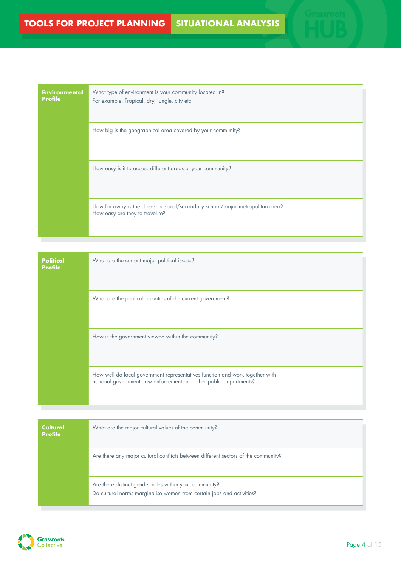| <b>Environmental</b><br><b>Profile</b> | What type of environment is your community located in?<br>For example: Tropical, dry, jungle, city etc.           |
|----------------------------------------|-------------------------------------------------------------------------------------------------------------------|
|                                        | How big is the geographical area covered by your community?                                                       |
|                                        | How easy is it to access different areas of your community?                                                       |
|                                        | How far away is the closest hospital/secondary school/major metropolitan area?<br>How easy are they to travel to? |

| <b>Political</b><br>Profile | What are the current major political issues?                                                                                                       |
|-----------------------------|----------------------------------------------------------------------------------------------------------------------------------------------------|
|                             | What are the political priorities of the current government?                                                                                       |
|                             | How is the government viewed within the community?                                                                                                 |
|                             | How well do local government representatives function and work together with<br>national government, law enforcement and other public departments? |

| Cultural<br><b>Profile</b> | What are the major cultural values of the community?                                                                            |
|----------------------------|---------------------------------------------------------------------------------------------------------------------------------|
|                            | Are there any major cultural conflicts between different sectors of the community?                                              |
|                            | Are there distinct gender roles within your community?<br>Do cultural norms marginalise women from certain jobs and activities? |



т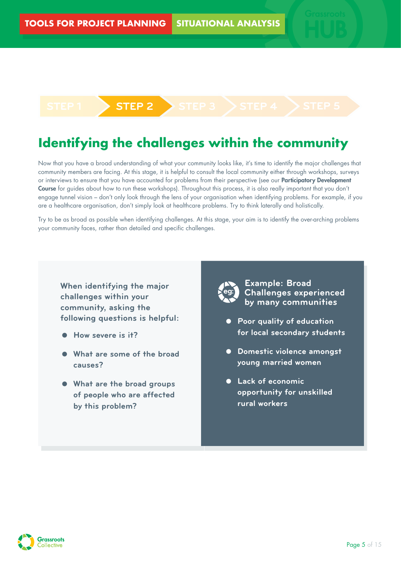# **Identifying the challenges within the community**

**STEP 1 STEP 2 STEP 3 STEP 4 STEP 5**

Now that you have a broad understanding of what your community looks like, it's time to identify the major challenges that community members are facing. At this stage, it is helpful to consult the local community either through workshops, surveys or interviews to ensure that you have accounted for problems from their perspective (see our Participatory Development Course for guides about how to run these workshops). Throughout this process, it is also really important that you don't engage tunnel vision – don't only look through the lens of your organisation when identifying problems. For example, if you are a healthcare organisation, don't simply look at healthcare problems. Try to think laterally and holistically.

Try to be as broad as possible when identifying challenges. At this stage, your aim is to identify the over-arching problems your community faces, rather than detailed and specific challenges.

## challenges within your community, asking the following questions is helpful: **following questions is helpful: When identifying the major**

- **How severe is it?**
- $$ **What are some of the broad**
- of people who are affected<br>by this problem? by this problem? **What are the broad groups**



**Example 3** Challenges experienced **challenges might be: by many communities Example: Broad** 

- **•** Poor quality of education **education for local for local secondary students**
- **secondary students Domestic violence amongst Domestic violence young married women**
- **a** Lack of economic **married women opportunity for unskilled rural workers**

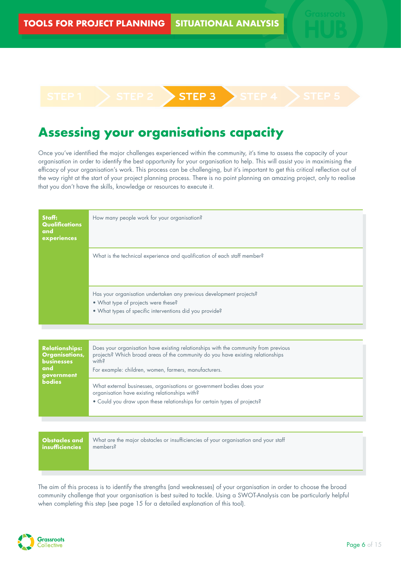# **STEP 1 STEP 2 STEP 3 STEP 4 STEP 5**

# **Assessing your organisations capacity**

Once you've identified the major challenges experienced within the community, it's time to assess the capacity of your organisation in order to identify the best opportunity for your organisation to help. This will assist you in maximising the efficacy of your organisation's work. This process can be challenging, but it's important to get this critical reflection out of the way right at the start of your project planning process. There is no point planning an amazing project, only to realise that you don't have the skills, knowledge or resources to execute it.

| Staff:<br>Qualifications<br>and<br>experiences | How many people work for your organisation?                                                                                                                           |  |
|------------------------------------------------|-----------------------------------------------------------------------------------------------------------------------------------------------------------------------|--|
|                                                | What is the technical experience and qualification of each staff member?                                                                                              |  |
|                                                | Has your organisation undertaken any previous development projects?<br>• What type of projects were these?<br>• What types of specific interventions did you provide? |  |

| <b>Relationships:</b><br><b>Organisations,</b><br><b>businesses</b><br>and<br>government<br><b>bodies</b> | Does your organisation have existing relationships with the community from previous<br>projects? Which broad areas of the community do you have existing relationships<br>with?<br>For example: children, women, farmers, manufacturers. |
|-----------------------------------------------------------------------------------------------------------|------------------------------------------------------------------------------------------------------------------------------------------------------------------------------------------------------------------------------------------|
|                                                                                                           | What external businesses, organisations or government bodies does your<br>organisation have existing relationships with?<br>• Could you draw upon these relationships for certain types of projects?                                     |

| <b>Obstacles</b> and           | What are the major obstacles or insufficiencies of your organisation and your staff |
|--------------------------------|-------------------------------------------------------------------------------------|
| $\blacksquare$ insufficiencies | members?                                                                            |
|                                |                                                                                     |

The aim of this process is to identify the strengths (and weaknesses) of your organisation in order to choose the broad community challenge that your organisation is best suited to tackle. Using a SWOT-Analysis can be particularly helpful when completing this step (see page 15 for a detailed explanation of this tool).

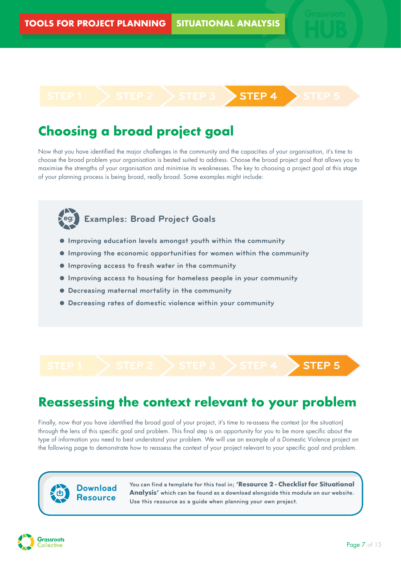# **STEP 1 STEP 2 STEP 3 STEP 4 STEP 5**

# **Choosing a broad project goal**

Now that you have identified the major challenges in the community and the capacities of your organisation, it's time to choose the broad problem your organisation is bested suited to address. Choose the broad project goal that allows you to maximise the strengths of your organisation and minimise its weaknesses. The key to choosing a project goal at this stage of your planning process is being broad, really broad. Some examples might include:



# **eg: Examples: Broad Project Goals**

- **Improving education levels amongst youth within the community**
- **Improving the economic opportunities for women within the community**
- **Improving access to fresh water in the community**
- **Improving access to housing for homeless people in your community**
- **Decreasing maternal mortality in the community**
- **Decreasing rates of domestic violence within your community**

**STEP 1 STEP 2 STEP 3 STEP 4 STEP 5**

# **Reassessing the context relevant to your problem**

Finally, now that you have identified the broad goal of your project, it's time to re-assess the context (or the situation) through the lens of this specific goal and problem. This final step is an opportunity for you to be more specific about the type of information you need to best understand your problem. We will use an example of a Domestic Violence project on the following page to demonstrate how to reassess the context of your project relevant to your specific goal and problem.

## **Download Resource**

**You can find a template for this tool in; 'Resource 2 - Checklist for Situational Analysis' which can be found as a download alongside this module on our website. Use this resource as a guide when planning your own project.** 

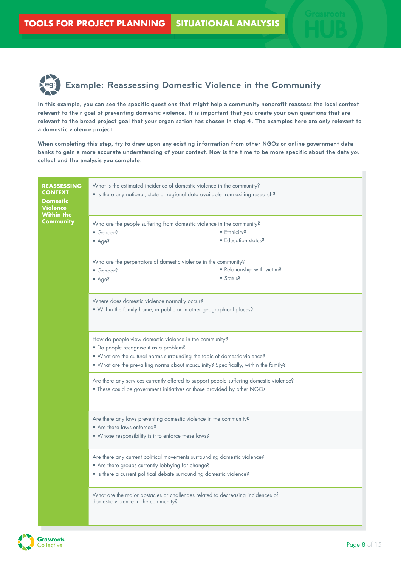

**In this example, you can see the specific questions that might help a community nonprofit reassess the local context relevant to their goal of preventing domestic violence. It is important that you create your own questions that are relevant to the broad project goal that your organisation has chosen in step 4. The examples here are only relevant to a domestic violence project.**

**When completing this step, try to draw upon any existing information from other NGOs or online government data banks to gain a more accurate understanding of your context. Now is the time to be more specific about the data you collect and the analysis you complete.**

| <b>REASSESSING</b><br><b>CONTEXT</b><br><b>Domestic</b><br>Violence<br>Within the | What is the estimated incidence of domestic violence in the community?<br>• Is there any national, state or regional data available from exiting research?                                                                                                           |                             |
|-----------------------------------------------------------------------------------|----------------------------------------------------------------------------------------------------------------------------------------------------------------------------------------------------------------------------------------------------------------------|-----------------------------|
| Community                                                                         | Who are the people suffering from domestic violence in the community?<br>• Ethnicity?<br>• Gender?<br>$\bullet$ Age?                                                                                                                                                 | · Education status?         |
|                                                                                   | Who are the perpetrators of domestic violence in the community?<br>· Gender?<br>$\bullet$ Status?<br>$\bullet$ Age?                                                                                                                                                  | • Relationship with victim? |
|                                                                                   | Where does domestic violence normally occur?<br>. Within the family home, in public or in other geographical places?                                                                                                                                                 |                             |
|                                                                                   | How do people view domestic violence in the community?<br>· Do people recognise it as a problem?<br>. What are the cultural norms surrounding the topic of domestic violence?<br>. What are the prevailing norms about masculinity? Specifically, within the family? |                             |
|                                                                                   | Are there any services currently offered to support people suffering domestic violence?<br>. These could be government initiatives or those provided by other NGOs                                                                                                   |                             |
|                                                                                   | Are there any laws preventing domestic violence in the community?<br>• Are these laws enforced?<br>. Whose responsibility is it to enforce these laws?                                                                                                               |                             |
|                                                                                   | Are there any current political movements surrounding domestic violence?<br>• Are there groups currently lobbying for change?<br>• Is there a current political debate surrounding domestic violence?                                                                |                             |
|                                                                                   | What are the major obstacles or challenges related to decreasing incidences of<br>domestic violence in the community?                                                                                                                                                |                             |



п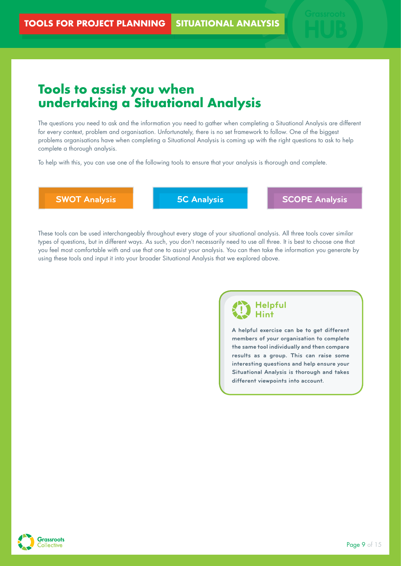# **Tools to assist you when undertaking a Situational Analysis**

The questions you need to ask and the information you need to gather when completing a Situational Analysis are different for every context, problem and organisation. Unfortunately, there is no set framework to follow. One of the biggest problems organisations have when completing a Situational Analysis is coming up with the right questions to ask to help complete a thorough analysis.

To help with this, you can use one of the following tools to ensure that your analysis is thorough and complete.

**SWOT Analysis 5C Analysis SCOPE Analysis**

These tools can be used interchangeably throughout every stage of your situational analysis. All three tools cover similar types of questions, but in different ways. As such, you don't necessarily need to use all three. It is best to choose one that you feel most comfortable with and use that one to assist your analysis. You can then take the information you generate by using these tools and input it into your broader Situational Analysis that we explored above.

## **Helpful Hint**

**A helpful exercise can be to get different members of your organisation to complete the same tool individually and then compare results as a group. This can raise some interesting questions and help ensure your Situational Analysis is thorough and takes different viewpoints into account.**

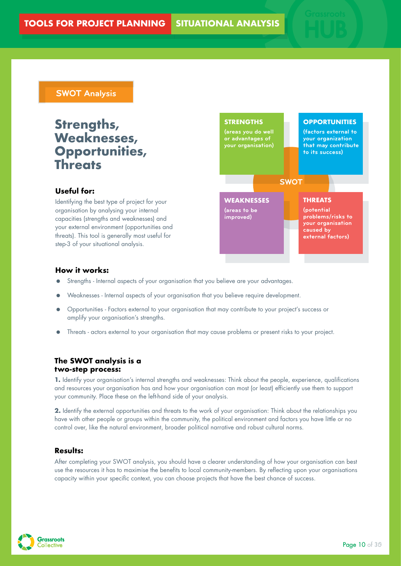### **SWOT Analysis**

# **Strengths, Weaknesses, Opportunities, Threats**

#### **Useful for:**

Identifying the best type of project for your organisation by analysing your internal capacities (strengths and weaknesses) and your external environment (opportunities and threats). This tool is generally most useful for step-3 of your situational analysis.



#### **How it works:**

- Strengths Internal aspects of your organisation that you believe are your advantages.
- Weaknesses Internal aspects of your organisation that you believe require development.
- Opportunities Factors external to your organisation that may contribute to your project's success or amplify your organisation's strengths.
- Threats actors external to your organisation that may cause problems or present risks to your project.

#### **The SWOT analysis is a two-step process:**

**1.** Identify your organisation's internal strengths and weaknesses: Think about the people, experience, qualifications and resources your organisation has and how your organisation can most (or least) efficiently use them to support your community. Place these on the left-hand side of your analysis.

**2.** Identify the external opportunities and threats to the work of your organisation: Think about the relationships you have with other people or groups within the community, the political environment and factors you have little or no control over, like the natural environment, broader political narrative and robust cultural norms.

#### **Results:**

After completing your SWOT analysis, you should have a clearer understanding of how your organisation can best use the resources it has to maximise the benefits to local community-members. By reflecting upon your organisations capacity within your specific context, you can choose projects that have the best chance of success.

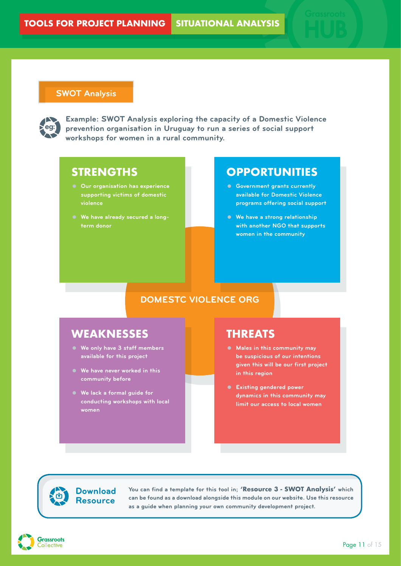#### **SWOT Analysis**



**Example: SWOT Analysis exploring the capacity of a Domestic Violence prevention organisation in Uruguay to run a series of social support workshops for women in a rural community.**

## **STRENGTHS**

- **Our organisation has experience supporting victims of domestic violence**
- **We have already secured a longterm donor**

## **OPPORTUNITIES**

- **Government grants currently available for Domestic Violence programs offering social support**
- **We have a strong relationship with another NGO that supports women in the community**

## **DOMESTC VIOLENCE ORG**

# **WEAKNESSES**

- **We only have 3 staff members available for this project**
- **We have never worked in this community before**
- **We lack a formal guide for conducting workshops with local women**

## **THREATS**

- **Males in this community may be suspicious of our intentions given this will be our first project in this region**
- **Existing gendered power dynamics in this community may limit our access to local women**

**Download Resource**

**You can find a template for this tool in; 'Resource 3 - SWOT Analysis' which can be found as a download alongside this module on our website. Use this resource as a guide when planning your own community development project.** 

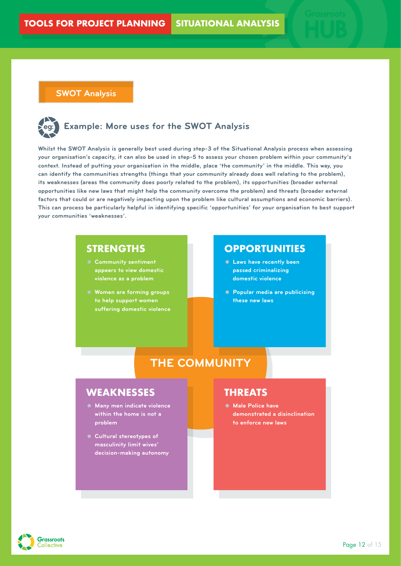**SWOT Analysis**

# **eg: Example: More uses for the SWOT Analysis**

**Whilst the SWOT Analysis is generally best used during step-3 of the Situational Analysis process when assessing your organisation's capacity, it can also be used in step-5 to assess your chosen problem within your community's context. Instead of putting your organisation in the middle, place 'the community' in the middle. This way, you can identify the communities strengths (things that your community already does well relating to the problem), its weaknesses (areas the community does poorly related to the problem), its opportunities (broader external opportunities like new laws that might help the community overcome the problem) and threats (broader external factors that could or are negatively impacting upon the problem like cultural assumptions and economic barriers). This can process be particularly helpful in identifying specific 'opportunities' for your organisation to best support your communities 'weaknesses'.**

## **STRENGTHS**

- **Community sentiment appears to view domestic violence as a problem**
- **Women are forming groups to help support women suffering domestic violence**

## **OPPORTUNITIES**

- **Laws have recently been passed criminalizing domestic violence**
- **Popular media are publicising these new laws**

# **THE COMMUNITY**

## **WEAKNESSES**

- **Many men indicate violence within the home is not a problem**
- **Cultural stereotypes of masculinity limit wives' decision-making autonomy**

## **THREATS**

 **Male Police have demonstrated a disinclination to enforce new laws**

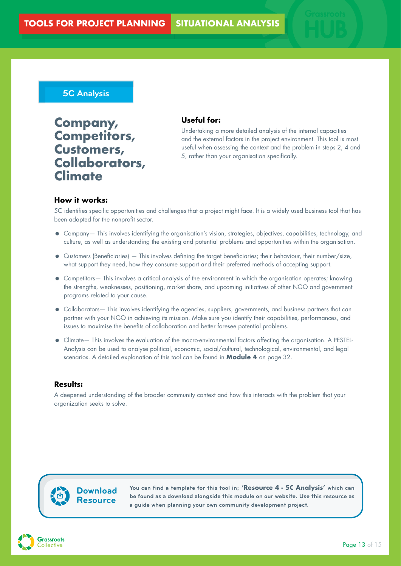## **5C Analysis**

**Company, Competitors, Customers, Collaborators, Climate**

#### **Useful for:**

Undertaking a more detailed analysis of the internal capacities and the external factors in the project environment. This tool is most useful when assessing the context and the problem in steps 2, 4 and 5, rather than your organisation specifically.

#### **How it works:**

5C identifies specific opportunities and challenges that a project might face. It is a widely used business tool that has been adapted for the nonprofit sector.

- Company— This involves identifying the organisation's vision, strategies, objectives, capabilities, technology, and culture, as well as understanding the existing and potential problems and opportunities within the organisation.
- Customers (Beneficiaries) This involves defining the target beneficiaries; their behaviour, their number/size, what support they need, how they consume support and their preferred methods of accepting support.
- Competitors— This involves a critical analysis of the environment in which the organisation operates; knowing the strengths, weaknesses, positioning, market share, and upcoming initiatives of other NGO and government programs related to your cause.
- Collaborators— This involves identifying the agencies, suppliers, governments, and business partners that can partner with your NGO in achieving its mission. Make sure you identify their capabilities, performances, and issues to maximise the benefits of collaboration and better foresee potential problems.
- Climate— This involves the evaluation of the macro-environmental factors affecting the organisation. A PESTEL-Analysis can be used to analyse political, economic, social/cultural, technological, environmental, and legal scenarios. A detailed explanation of this tool can be found in **Module 4** on page 32.

#### **Results:**

A deepened understanding of the broader community context and how this interacts with the problem that your organization seeks to solve.

## **Download Resource**

**You can find a template for this tool in; 'Resource 4 - 5C Analysis' which can be found as a download alongside this module on our website. Use this resource as a guide when planning your own community development project.** 

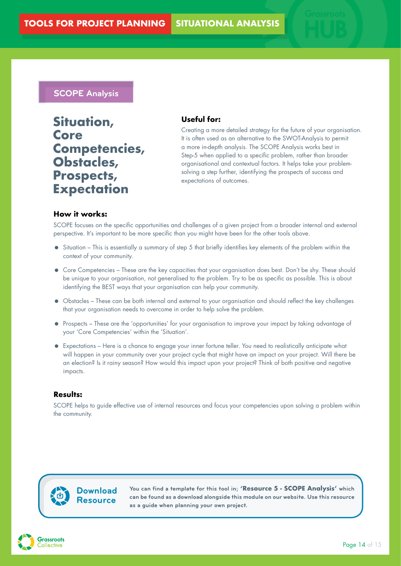## **SCOPE Analysis**

**Situation, Core Competencies, Obstacles, Prospects, Expectation**

#### **Useful for:**

Creating a more detailed strategy for the future of your organisation. It is often used as an alternative to the SWOT-Analysis to permit a more in-depth analysis. The SCOPE Analysis works best in Step-5 when applied to a specific problem, rather than broader organisational and contextual factors. It helps take your problemsolving a step further, identifying the prospects of success and expectations of outcomes.

#### **How it works:**

SCOPE focuses on the specific opportunities and challenges of a given project from a broader internal and external perspective. It's important to be more specific than you might have been for the other tools above.

- Situation This is essentially a summary of step 5 that briefly identifies key elements of the problem within the context of your community.
- Core Competencies These are the key capacities that your organisation does best. Don't be shy. These should be unique to your organisation, not generalised to the problem. Try to be as specific as possible. This is about identifying the BEST ways that your organisation can help your community.
- Obstacles These can be both internal and external to your organisation and should reflect the key challenges that your organisation needs to overcome in order to help solve the problem.
- Prospects These are the 'opportunities' for your organisation to improve your impact by taking advantage of your 'Core Competencies' within the 'Situation'.
- Expectations Here is a chance to engage your inner fortune teller. You need to realistically anticipate what will happen in your community over your project cycle that might have an impact on your project. Will there be an election? Is it rainy season? How would this impact upon your project? Think of both positive and negative impacts.

#### **Results:**

SCOPE helps to guide effective use of internal resources and focus your competencies upon solving a problem within the community.

## **Download Resource**

**You can find a template for this tool in; 'Resource 5 - SCOPE Analysis' which can be found as a download alongside this module on our website. Use this resource as a guide when planning your own project.**